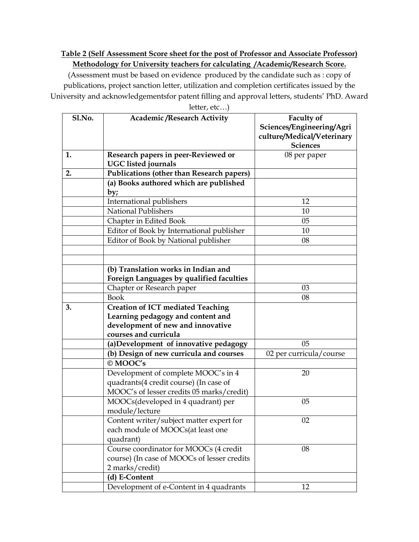## **Table 2 (Self Assessment Score sheet for the post of Professor and Associate Professor) Methodology for University teachers for calculating /Academic/Research Score.**

(Assessment must be based on evidence produced by the candidate such as : copy of publications, project sanction letter, utilization and completion certificates issued by the University and acknowledgementsfor patent filling and approval letters, students' PhD. Award

| Sl.No. | <b>Academic /Research Activity</b>                                | <b>Faculty of</b>                                       |
|--------|-------------------------------------------------------------------|---------------------------------------------------------|
|        |                                                                   | Sciences/Engineering/Agri<br>culture/Medical/Veterinary |
|        |                                                                   | <b>Sciences</b>                                         |
| 1.     | Research papers in peer-Reviewed or<br><b>UGC</b> listed journals | 08 per paper                                            |
| 2.     | <b>Publications (other than Research papers)</b>                  |                                                         |
|        | (a) Books authored which are published                            |                                                         |
|        | by;                                                               |                                                         |
|        | International publishers                                          | 12                                                      |
|        | <b>National Publishers</b>                                        | 10                                                      |
|        | Chapter in Edited Book                                            | 05                                                      |
|        | Editor of Book by International publisher                         | 10                                                      |
|        | Editor of Book by National publisher                              | 08                                                      |
|        |                                                                   |                                                         |
|        |                                                                   |                                                         |
|        | (b) Translation works in Indian and                               |                                                         |
|        | Foreign Languages by qualified faculties                          |                                                         |
|        | Chapter or Research paper                                         | 03                                                      |
|        | <b>Book</b>                                                       | 08                                                      |
| 3.     | <b>Creation of ICT mediated Teaching</b>                          |                                                         |
|        | Learning pedagogy and content and                                 |                                                         |
|        | development of new and innovative                                 |                                                         |
|        | courses and curricula                                             |                                                         |
|        | (a)Development of innovative pedagogy                             | 05                                                      |
|        | (b) Design of new curricula and courses                           | 02 per curricula/course                                 |
|        | © MOOC's                                                          |                                                         |
|        | Development of complete MOOC's in 4                               | 20                                                      |
|        | quadrants(4 credit course) (In case of                            |                                                         |
|        | MOOC's of lesser credits 05 marks/credit)                         |                                                         |
|        | MOOCs(developed in 4 quadrant) per                                | 05                                                      |
|        | module/lecture                                                    |                                                         |
|        | Content writer/subject matter expert for                          | 02                                                      |
|        | each module of MOOCs(at least one                                 |                                                         |
|        | quadrant)                                                         |                                                         |
|        | Course coordinator for MOOCs (4 credit                            | 08                                                      |
|        | course) (In case of MOOCs of lesser credits                       |                                                         |
|        | 2 marks/credit)                                                   |                                                         |
|        | (d) E-Content                                                     |                                                         |
|        | Development of e-Content in 4 quadrants                           | 12                                                      |

letter, etc…)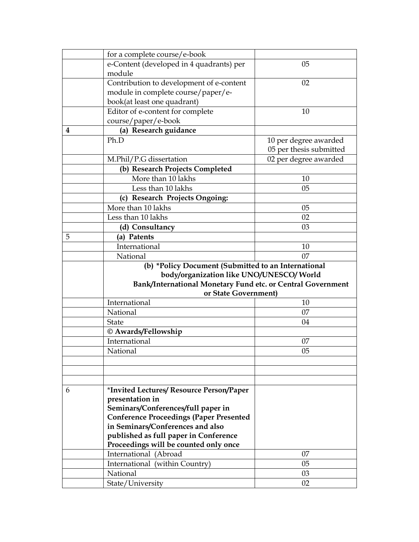|   | for a complete course/e-book                                |                         |  |  |
|---|-------------------------------------------------------------|-------------------------|--|--|
|   | e-Content (developed in 4 quadrants) per                    | 05                      |  |  |
|   | module                                                      |                         |  |  |
|   | Contribution to development of e-content                    | 02                      |  |  |
|   | module in complete course/paper/e-                          |                         |  |  |
|   | book(at least one quadrant)                                 |                         |  |  |
|   | Editor of e-content for complete                            | 10                      |  |  |
|   | course/paper/e-book                                         |                         |  |  |
| 4 | (a) Research guidance                                       |                         |  |  |
|   | Ph.D                                                        | 10 per degree awarded   |  |  |
|   |                                                             | 05 per thesis submitted |  |  |
|   | M.Phil/P.G dissertation                                     | 02 per degree awarded   |  |  |
|   | (b) Research Projects Completed                             |                         |  |  |
|   | More than 10 lakhs                                          | 10                      |  |  |
|   | Less than 10 lakhs                                          | 05                      |  |  |
|   | (c) Research Projects Ongoing:                              |                         |  |  |
|   | More than 10 lakhs                                          | 05                      |  |  |
|   | Less than 10 lakhs                                          | 02                      |  |  |
|   | (d) Consultancy                                             | 03                      |  |  |
| 5 | (a) Patents                                                 |                         |  |  |
|   | International                                               | 10                      |  |  |
|   | National                                                    | 07                      |  |  |
|   | (b) *Policy Document (Submitted to an International         |                         |  |  |
|   | body/organization like UNO/UNESCO/ World                    |                         |  |  |
|   | Bank/International Monetary Fund etc. or Central Government |                         |  |  |
|   | or State Government)                                        |                         |  |  |
|   | International                                               | 10                      |  |  |
|   | National                                                    | 07                      |  |  |
|   | State                                                       | 04                      |  |  |
|   | © Awards/Fellowship                                         |                         |  |  |
|   | International                                               | 07                      |  |  |
|   | National                                                    | 05                      |  |  |
|   |                                                             |                         |  |  |
|   |                                                             |                         |  |  |
|   |                                                             |                         |  |  |
| 6 | *Invited Lectures/ Resource Person/Paper                    |                         |  |  |
|   | presentation in                                             |                         |  |  |
|   |                                                             |                         |  |  |
|   | Seminars/Conferences/full paper in                          |                         |  |  |
|   | <b>Conference Proceedings (Paper Presented</b>              |                         |  |  |
|   | in Seminars/Conferences and also                            |                         |  |  |
|   | published as full paper in Conference                       |                         |  |  |
|   | Proceedings will be counted only once                       |                         |  |  |
|   | International (Abroad                                       | 07                      |  |  |
|   | International (within Country)                              | 05                      |  |  |
|   | National<br>State/University                                | 03<br>02                |  |  |